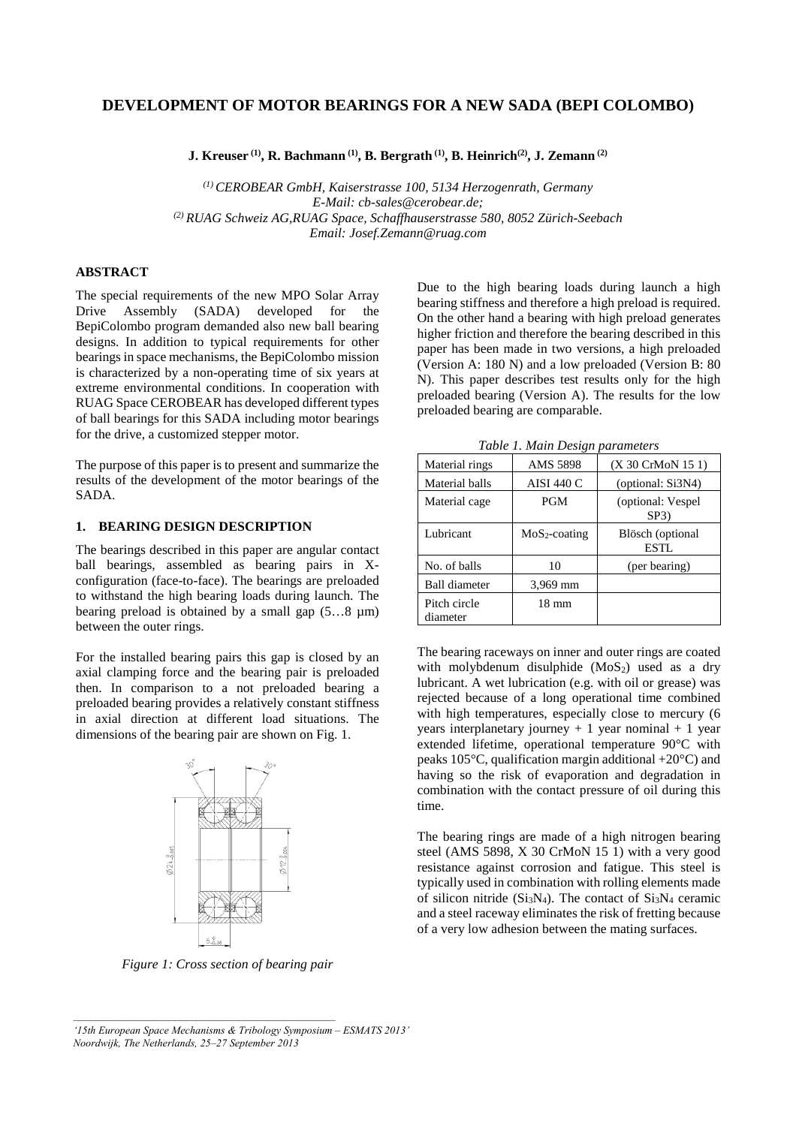# **DEVELOPMENT OF MOTOR BEARINGS FOR A NEW SADA (BEPI COLOMBO)**

**J. Kreuser (1), R. Bachmann (1), B. Bergrath (1), B. Heinrich(2), J. Zemann (2)**

*(1) CEROBEAR GmbH, Kaiserstrasse 100, 5134 Herzogenrath, Germany E-Mail: cb-sales@cerobear.de; (2) RUAG Schweiz AG,RUAG Space, Schaffhauserstrasse 580, 8052 Zürich-Seebach Email: Josef.Zemann@ruag.com*

## **ABSTRACT**

The special requirements of the new MPO Solar Array Drive Assembly (SADA) developed for the BepiColombo program demanded also new ball bearing designs. In addition to typical requirements for other bearings in space mechanisms, the BepiColombo mission is characterized by a non-operating time of six years at extreme environmental conditions. In cooperation with RUAG Space CEROBEAR has developed different types of ball bearings for this SADA including motor bearings for the drive, a customized stepper motor.

The purpose of this paper is to present and summarize the results of the development of the motor bearings of the SADA.

### **1. BEARING DESIGN DESCRIPTION**

The bearings described in this paper are angular contact ball bearings, assembled as bearing pairs in Xconfiguration (face-to-face). The bearings are preloaded to withstand the high bearing loads during launch. The bearing preload is obtained by a small gap  $(5...8 \mu m)$ between the outer rings.

For the installed bearing pairs this gap is closed by an axial clamping force and the bearing pair is preloaded then. In comparison to a not preloaded bearing a preloaded bearing provides a relatively constant stiffness in axial direction at different load situations. The dimensions of the bearing pair are shown on Fig. 1.



*Figure 1: Cross section of bearing pair*

Due to the high bearing loads during launch a high bearing stiffness and therefore a high preload is required. On the other hand a bearing with high preload generates higher friction and therefore the bearing described in this paper has been made in two versions, a high preloaded (Version A: 180 N) and a low preloaded (Version B: 80 N). This paper describes test results only for the high preloaded bearing (Version A). The results for the low preloaded bearing are comparable.

*Table 1. Main Design parameters*

|                          | $\ldots$          |                                 |
|--------------------------|-------------------|---------------------------------|
| Material rings           | AMS 5898          | (X 30 CrMoN 15 1)               |
| Material balls           | <b>AISI 440 C</b> | (optional: Si3N4)               |
| Material cage            | <b>PGM</b>        | (optional: Vespel<br>SP3)       |
| Lubricant                | $MoS2-coating$    | Blösch (optional<br><b>ESTL</b> |
| No. of balls             | 10                | (per bearing)                   |
| <b>Ball diameter</b>     | 3,969 mm          |                                 |
| Pitch circle<br>diameter | 18 mm             |                                 |

The bearing raceways on inner and outer rings are coated with molybdenum disulphide  $(MoS<sub>2</sub>)$  used as a dry lubricant. A wet lubrication (e.g. with oil or grease) was rejected because of a long operational time combined with high temperatures, especially close to mercury  $(6)$ years interplanetary journey  $+ 1$  year nominal  $+ 1$  year extended lifetime, operational temperature 90°C with peaks 105°C, qualification margin additional +20°C) and having so the risk of evaporation and degradation in combination with the contact pressure of oil during this time.

The bearing rings are made of a high nitrogen bearing steel (AMS 5898, X 30 CrMoN 15 1) with a very good resistance against corrosion and fatigue. This steel is typically used in combination with rolling elements made of silicon nitride ( $Si<sub>3</sub>N<sub>4</sub>$ ). The contact of  $Si<sub>3</sub>N<sub>4</sub>$  ceramic and a steel raceway eliminates the risk of fretting because of a very low adhesion between the mating surfaces.

*<sup>&#</sup>x27;15th European Space Mechanisms & Tribology Symposium – ESMATS 2013' Noordwijk, The Netherlands, 25–27 September 2013*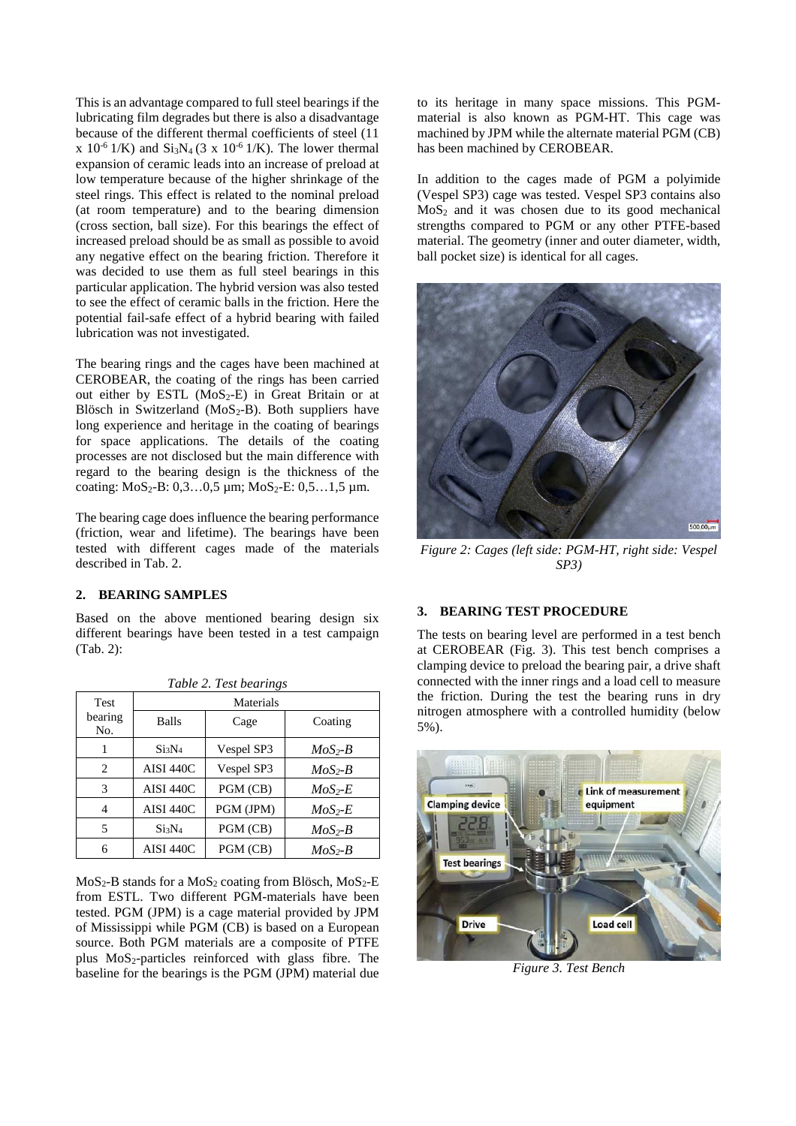This is an advantage compared to full steel bearings if the lubricating film degrades but there is also a disadvantage because of the different thermal coefficients of steel (11 x  $10^{-6}$  1/K) and  $Si<sub>3</sub>N<sub>4</sub>$  (3 x  $10^{-6}$  1/K). The lower thermal expansion of ceramic leads into an increase of preload at low temperature because of the higher shrinkage of the steel rings. This effect is related to the nominal preload (at room temperature) and to the bearing dimension (cross section, ball size). For this bearings the effect of increased preload should be as small as possible to avoid any negative effect on the bearing friction. Therefore it was decided to use them as full steel bearings in this particular application. The hybrid version was also tested to see the effect of ceramic balls in the friction. Here the potential fail-safe effect of a hybrid bearing with failed lubrication was not investigated.

The bearing rings and the cages have been machined at CEROBEAR, the coating of the rings has been carried out either by ESTL  $(MoS_2-E)$  in Great Britain or at Blösch in Switzerland ( $MoS_2-B$ ). Both suppliers have long experience and heritage in the coating of bearings for space applications. The details of the coating processes are not disclosed but the main difference with regard to the bearing design is the thickness of the coating:  $MoS_2-B: 0,3...0,5 \mu m$ ;  $MoS_2-E: 0,5...1,5 \mu m$ .

The bearing cage does influence the bearing performance (friction, wear and lifetime). The bearings have been tested with different cages made of the materials described in Tab. 2.

# **2. BEARING SAMPLES**

Based on the above mentioned bearing design six different bearings have been tested in a test campaign (Tab. 2):

| Tuvie 2. Test bearings |                   |            |           |  |  |
|------------------------|-------------------|------------|-----------|--|--|
| <b>Test</b>            | Materials         |            |           |  |  |
| bearing<br>No.         | Balls             | Cage       | Coating   |  |  |
|                        | Si3N <sub>4</sub> | Vespel SP3 | $MoS2-B$  |  |  |
| 2                      | AISI 440C         | Vespel SP3 | $MoS2-B$  |  |  |
| 3                      | AISI 440C         | PGM (CB)   | $MoS2-E$  |  |  |
| 4                      | AISI 440C         | PGM (JPM)  | $MoS2-E$  |  |  |
| 5                      | Si3N <sub>4</sub> | PGM (CB)   | $MoS_2-B$ |  |  |
| 6                      | AISI 440C         | PGM (CB)   | $MoS_2-B$ |  |  |

*Table 2. Test bearings*

 $MoS<sub>2</sub>-B$  stands for a  $MoS<sub>2</sub>$  coating from Blösch,  $MoS<sub>2</sub>-E$ from ESTL. Two different PGM-materials have been tested. PGM (JPM) is a cage material provided by JPM of Mississippi while PGM (CB) is based on a European source. Both PGM materials are a composite of PTFE plus  $MoS<sub>2</sub>-particles$  reinforced with glass fibre. The baseline for the bearings is the PGM (JPM) material due

to its heritage in many space missions. This PGMmaterial is also known as PGM-HT. This cage was machined by JPM while the alternate material PGM (CB) has been machined by CEROBEAR.

In addition to the cages made of PGM a polyimide (Vespel SP3) cage was tested. Vespel SP3 contains also  $MoS<sub>2</sub>$  and it was chosen due to its good mechanical strengths compared to PGM or any other PTFE-based material. The geometry (inner and outer diameter, width, ball pocket size) is identical for all cages.



*Figure 2: Cages (left side: PGM-HT, right side: Vespel SP3)*

#### **3. BEARING TEST PROCEDURE**

The tests on bearing level are performed in a test bench at CEROBEAR (Fig. 3). This test bench comprises a clamping device to preload the bearing pair, a drive shaft connected with the inner rings and a load cell to measure the friction. During the test the bearing runs in dry nitrogen atmosphere with a controlled humidity (below 5%).



*Figure 3. Test Bench*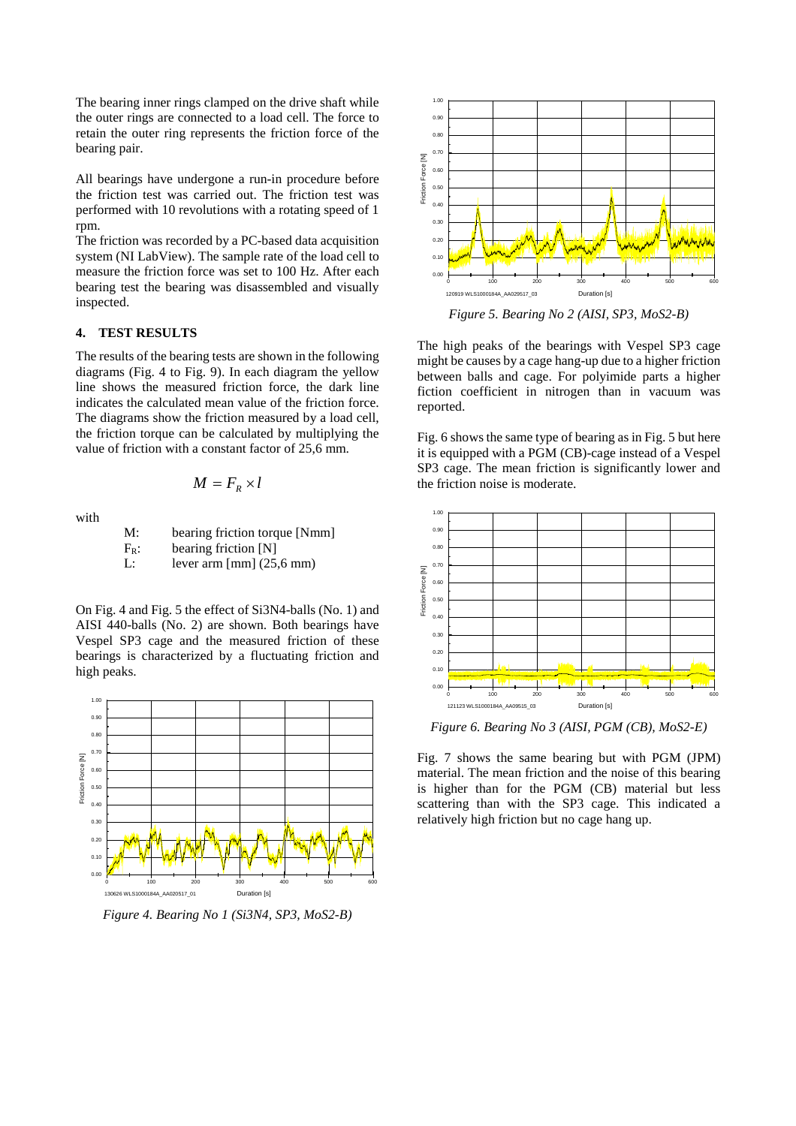The bearing inner rings clamped on the drive shaft while the outer rings are connected to a load cell. The force to retain the outer ring represents the friction force of the bearing pair.

All bearings have undergone a run-in procedure before the friction test was carried out. The friction test was performed with 10 revolutions with a rotating speed of 1 rpm.

The friction was recorded by a PC-based data acquisition system (NI LabView). The sample rate of the load cell to measure the friction force was set to 100 Hz. After each bearing test the bearing was disassembled and visually inspected.

## **4. TEST RESULTS**

The results of the bearing tests are shown in the following diagrams (Fig. 4 to Fig. 9). In each diagram the yellow line shows the measured friction force, the dark line indicates the calculated mean value of the friction force. The diagrams show the friction measured by a load cell, the friction torque can be calculated by multiplying the value of friction with a constant factor of 25,6 mm.

$$
M = F_R \times l
$$

with

M: bearing friction torque [Nmm]  
\n
$$
F_R
$$
: bearing friction [N]  
\nL: lever arm [mm] (25,6 mm)

On Fig. 4 and Fig. 5 the effect of Si3N4-balls (No. 1) and AISI 440-balls (No. 2) are shown. Both bearings have Vespel SP3 cage and the measured friction of these bearings is characterized by a fluctuating friction and high peaks.



*Figure 4. Bearing No 1 (Si3N4, SP3, MoS2-B)*



*Figure 5. Bearing No 2 (AISI, SP3, MoS2-B)*

The high peaks of the bearings with Vespel SP3 cage might be causes by a cage hang-up due to a higher friction between balls and cage. For polyimide parts a higher fiction coefficient in nitrogen than in vacuum was reported.

Fig. 6 shows the same type of bearing as in Fig. 5 but here it is equipped with a PGM (CB)-cage instead of a Vespel SP3 cage. The mean friction is significantly lower and the friction noise is moderate.



*Figure 6. Bearing No 3 (AISI, PGM (CB), MoS2-E)*

Fig. 7 shows the same bearing but with PGM (JPM) material. The mean friction and the noise of this bearing is higher than for the PGM (CB) material but less scattering than with the SP3 cage. This indicated a relatively high friction but no cage hang up.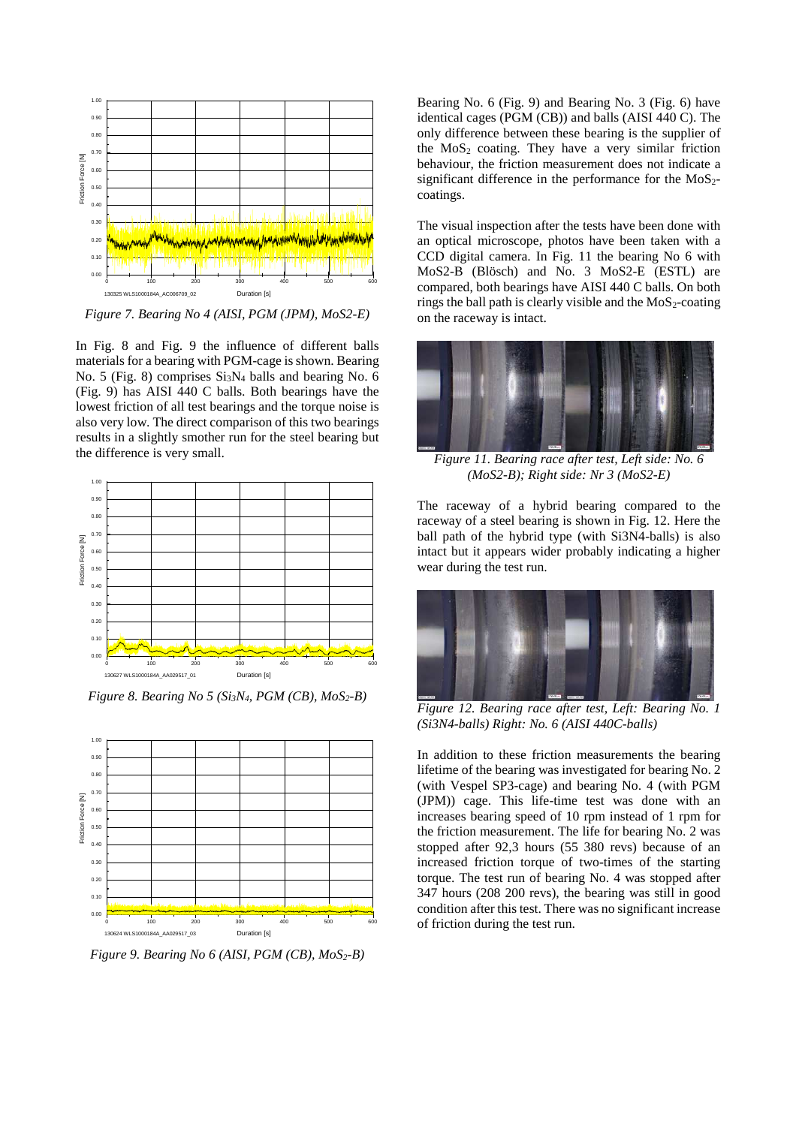

*Figure 7. Bearing No 4 (AISI, PGM (JPM), MoS2-E)*

In Fig. 8 and Fig. 9 the influence of different balls materials for a bearing with PGM-cage is shown. Bearing No. 5 (Fig. 8) comprises  $Si<sub>3</sub>N<sub>4</sub>$  balls and bearing No. 6 (Fig. 9) has AISI 440 C balls. Both bearings have the lowest friction of all test bearings and the torque noise is also very low. The direct comparison of this two bearings results in a slightly smother run for the steel bearing but the difference is very small.



*Figure 8. Bearing No 5 (Si3N4, PGM (CB), MoS2-B)*



*Figure 9. Bearing No 6 (AISI, PGM (CB), MoS2-B)*

Bearing No. 6 (Fig. 9) and Bearing No. 3 (Fig. 6) have identical cages (PGM (CB)) and balls (AISI 440 C). The only difference between these bearing is the supplier of the  $MoS<sub>2</sub>$  coating. They have a very similar friction behaviour, the friction measurement does not indicate a significant difference in the performance for the  $MoS<sub>2</sub>$ coatings.

The visual inspection after the tests have been done with an optical microscope, photos have been taken with a CCD digital camera. In Fig. 11 the bearing No 6 with MoS2-B (Blösch) and No. 3 MoS2-E (ESTL) are compared, both bearings have AISI 440 C balls. On both rings the ball path is clearly visible and the  $MoS<sub>2</sub>-coating$ on the raceway is intact.



*Figure 11. Bearing race after test, Left side: No. 6 (MoS2-B); Right side: Nr 3 (MoS2-E)*

The raceway of a hybrid bearing compared to the raceway of a steel bearing is shown in Fig. 12. Here the ball path of the hybrid type (with Si3N4-balls) is also intact but it appears wider probably indicating a higher wear during the test run.



*Figure 12. Bearing race after test, Left: Bearing No. 1 (Si3N4-balls) Right: No. 6 (AISI 440C-balls)*

In addition to these friction measurements the bearing lifetime of the bearing was investigated for bearing No. 2 (with Vespel SP3-cage) and bearing No. 4 (with PGM (JPM)) cage. This life-time test was done with an increases bearing speed of 10 rpm instead of 1 rpm for the friction measurement. The life for bearing No. 2 was stopped after 92,3 hours (55 380 revs) because of an increased friction torque of two-times of the starting torque. The test run of bearing No. 4 was stopped after 347 hours (208 200 revs), the bearing was still in good condition after this test. There was no significant increase of friction during the test run.